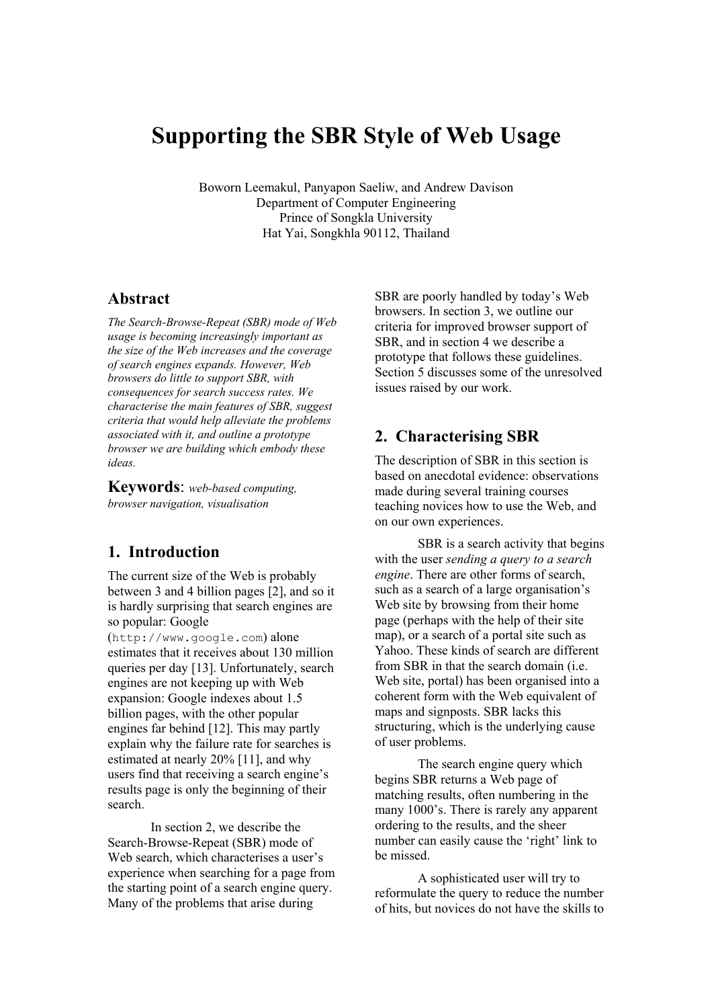# **Supporting the SBR Style of Web Usage**

Boworn Leemakul, Panyapon Saeliw, and Andrew Davison Department of Computer Engineering Prince of Songkla University Hat Yai, Songkhla 90112, Thailand

#### **Abstract**

*The Search-Browse-Repeat (SBR) mode of Web usage is becoming increasingly important as the size of the Web increases and the coverage of search engines expands. However, Web browsers do little to support SBR, with consequences for search success rates. We characterise the main features of SBR, suggest criteria that would help alleviate the problems associated with it, and outline a prototype browser we are building which embody these ideas.*

**Keywords**: *web-based computing, browser navigation, visualisation*

#### **1. Introduction**

The current size of the Web is probably between 3 and 4 billion pages [2], and so it is hardly surprising that search engines are so popular: Google

(http://www.google.com) alone estimates that it receives about 130 million queries per day [13]. Unfortunately, search engines are not keeping up with Web expansion: Google indexes about 1.5 billion pages, with the other popular engines far behind [12]. This may partly explain why the failure rate for searches is estimated at nearly 20% [11], and why users find that receiving a search engine's results page is only the beginning of their search.

In section 2, we describe the Search-Browse-Repeat (SBR) mode of Web search, which characterises a user's experience when searching for a page from the starting point of a search engine query. Many of the problems that arise during

SBR are poorly handled by today's Web browsers. In section 3, we outline our criteria for improved browser support of SBR, and in section 4 we describe a prototype that follows these guidelines. Section 5 discusses some of the unresolved issues raised by our work.

## **2. Characterising SBR**

The description of SBR in this section is based on anecdotal evidence: observations made during several training courses teaching novices how to use the Web, and on our own experiences.

SBR is a search activity that begins with the user *sending a query to a search engine*. There are other forms of search, such as a search of a large organisation's Web site by browsing from their home page (perhaps with the help of their site map), or a search of a portal site such as Yahoo. These kinds of search are different from SBR in that the search domain (i.e. Web site, portal) has been organised into a coherent form with the Web equivalent of maps and signposts. SBR lacks this structuring, which is the underlying cause of user problems.

The search engine query which begins SBR returns a Web page of matching results, often numbering in the many 1000's. There is rarely any apparent ordering to the results, and the sheer number can easily cause the 'right' link to be missed.

A sophisticated user will try to reformulate the query to reduce the number of hits, but novices do not have the skills to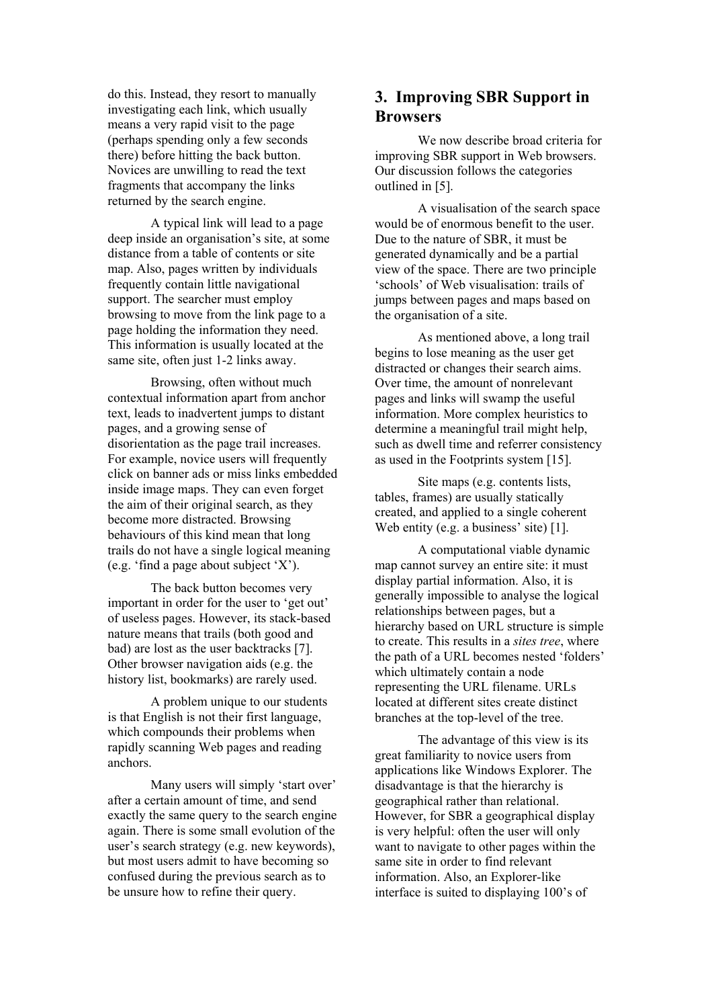do this. Instead, they resort to manually investigating each link, which usually means a very rapid visit to the page (perhaps spending only a few seconds there) before hitting the back button. Novices are unwilling to read the text fragments that accompany the links returned by the search engine.

A typical link will lead to a page deep inside an organisation's site, at some distance from a table of contents or site map. Also, pages written by individuals frequently contain little navigational support. The searcher must employ browsing to move from the link page to a page holding the information they need. This information is usually located at the same site, often just 1-2 links away.

Browsing, often without much contextual information apart from anchor text, leads to inadvertent jumps to distant pages, and a growing sense of disorientation as the page trail increases. For example, novice users will frequently click on banner ads or miss links embedded inside image maps. They can even forget the aim of their original search, as they become more distracted. Browsing behaviours of this kind mean that long trails do not have a single logical meaning (e.g. 'find a page about subject 'X').

The back button becomes very important in order for the user to 'get out' of useless pages. However, its stack-based nature means that trails (both good and bad) are lost as the user backtracks [7]. Other browser navigation aids (e.g. the history list, bookmarks) are rarely used.

A problem unique to our students is that English is not their first language, which compounds their problems when rapidly scanning Web pages and reading anchors.

Many users will simply 'start over' after a certain amount of time, and send exactly the same query to the search engine again. There is some small evolution of the user's search strategy (e.g. new keywords), but most users admit to have becoming so confused during the previous search as to be unsure how to refine their query.

# **3. Improving SBR Support in Browsers**

We now describe broad criteria for improving SBR support in Web browsers. Our discussion follows the categories outlined in [5].

A visualisation of the search space would be of enormous benefit to the user. Due to the nature of SBR, it must be generated dynamically and be a partial view of the space. There are two principle 'schools' of Web visualisation: trails of jumps between pages and maps based on the organisation of a site.

As mentioned above, a long trail begins to lose meaning as the user get distracted or changes their search aims. Over time, the amount of nonrelevant pages and links will swamp the useful information. More complex heuristics to determine a meaningful trail might help, such as dwell time and referrer consistency as used in the Footprints system [15].

Site maps (e.g. contents lists, tables, frames) are usually statically created, and applied to a single coherent Web entity (e.g. a business' site) [1].

A computational viable dynamic map cannot survey an entire site: it must display partial information. Also, it is generally impossible to analyse the logical relationships between pages, but a hierarchy based on URL structure is simple to create. This results in a *sites tree*, where the path of a URL becomes nested 'folders' which ultimately contain a node representing the URL filename. URLs located at different sites create distinct branches at the top-level of the tree.

The advantage of this view is its great familiarity to novice users from applications like Windows Explorer. The disadvantage is that the hierarchy is geographical rather than relational. However, for SBR a geographical display is very helpful: often the user will only want to navigate to other pages within the same site in order to find relevant information. Also, an Explorer-like interface is suited to displaying 100's of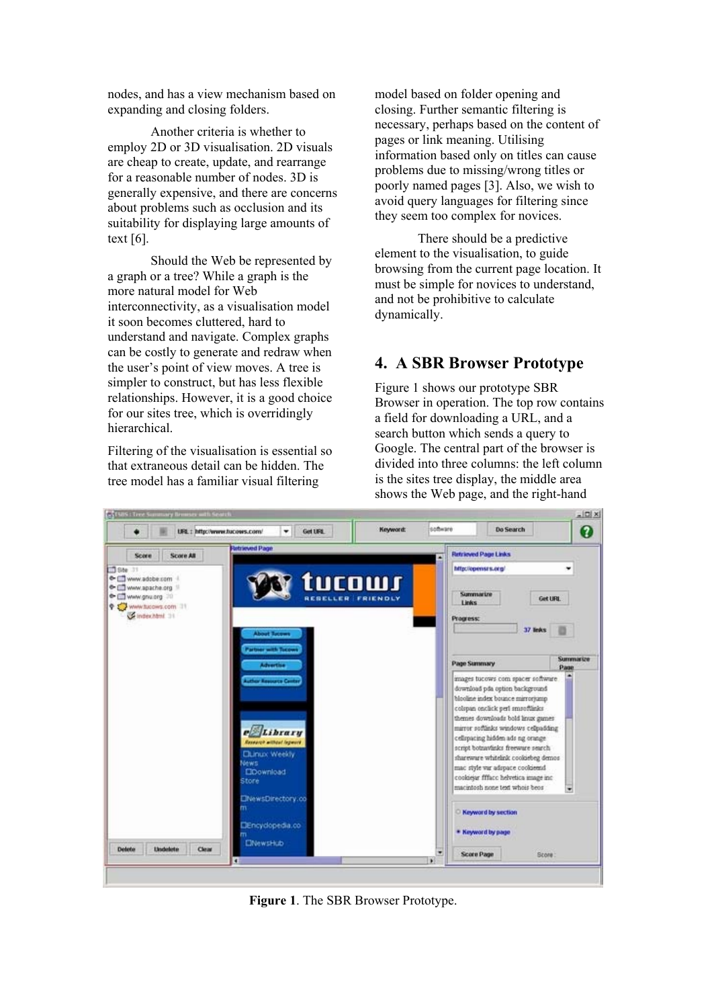nodes, and has a view mechanism based on expanding and closing folders.

Another criteria is whether to employ 2D or 3D visualisation. 2D visuals are cheap to create, update, and rearrange for a reasonable number of nodes. 3D is generally expensive, and there are concerns about problems such as occlusion and its suitability for displaying large amounts of text [6].

Should the Web be represented by a graph or a tree? While a graph is the more natural model for Web interconnectivity, as a visualisation model it soon becomes cluttered, hard to understand and navigate. Complex graphs can be costly to generate and redraw when the user's point of view moves. A tree is simpler to construct, but has less flexible relationships. However, it is a good choice for our sites tree, which is overridingly hierarchical.

Filtering of the visualisation is essential so that extraneous detail can be hidden. The tree model has a familiar visual filtering

model based on folder opening and closing. Further semantic filtering is necessary, perhaps based on the content of pages or link meaning. Utilising information based only on titles can cause problems due to missing/wrong titles or poorly named pages [3]. Also, we wish to avoid query languages for filtering since they seem too complex for novices.

There should be a predictive element to the visualisation, to guide browsing from the current page location. It must be simple for novices to understand, and not be prohibitive to calculate dynamically.

### **4. A SBR Browser Prototype**

Figure 1 shows our prototype SBR Browser in operation. The top row contains a field for downloading a URL, and a search button which sends a query to Google. The central part of the browser is divided into three columns: the left column is the sites tree display, the middle area shows the Web page, and the right-hand



**Figure 1**. The SBR Browser Prototype.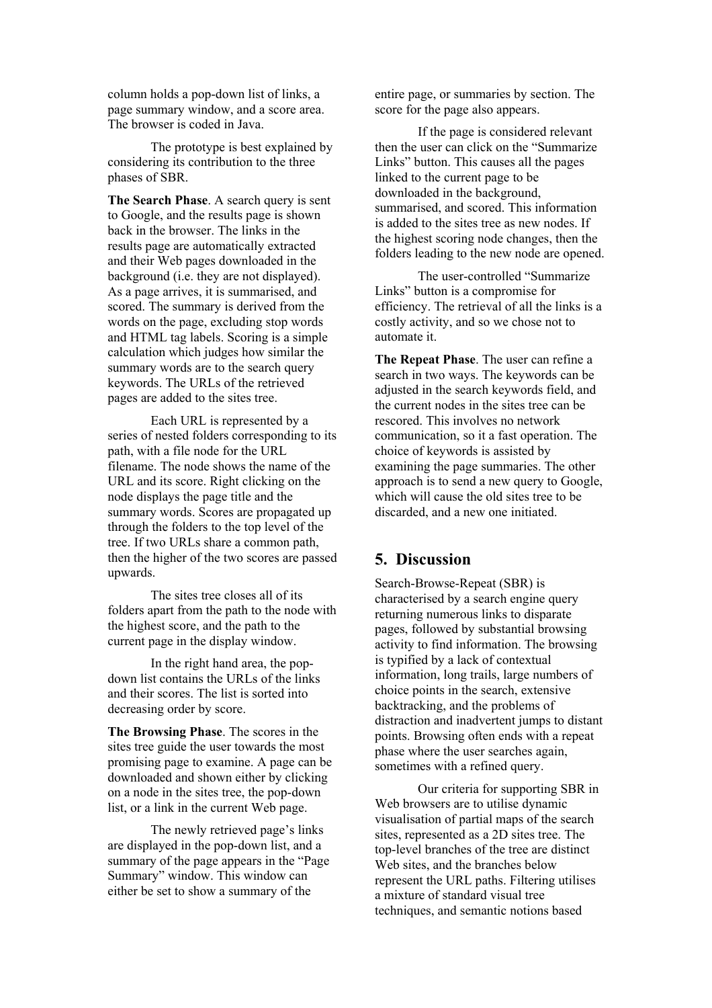column holds a pop-down list of links, a page summary window, and a score area. The browser is coded in Java.

The prototype is best explained by considering its contribution to the three phases of SBR.

**The Search Phase**. A search query is sent to Google, and the results page is shown back in the browser. The links in the results page are automatically extracted and their Web pages downloaded in the background (i.e. they are not displayed). As a page arrives, it is summarised, and scored. The summary is derived from the words on the page, excluding stop words and HTML tag labels. Scoring is a simple calculation which judges how similar the summary words are to the search query keywords. The URLs of the retrieved pages are added to the sites tree.

Each URL is represented by a series of nested folders corresponding to its path, with a file node for the URL filename. The node shows the name of the URL and its score. Right clicking on the node displays the page title and the summary words. Scores are propagated up through the folders to the top level of the tree. If two URLs share a common path, then the higher of the two scores are passed upwards.

The sites tree closes all of its folders apart from the path to the node with the highest score, and the path to the current page in the display window.

In the right hand area, the popdown list contains the URLs of the links and their scores. The list is sorted into decreasing order by score.

**The Browsing Phase**. The scores in the sites tree guide the user towards the most promising page to examine. A page can be downloaded and shown either by clicking on a node in the sites tree, the pop-down list, or a link in the current Web page.

The newly retrieved page's links are displayed in the pop-down list, and a summary of the page appears in the "Page Summary" window. This window can either be set to show a summary of the

entire page, or summaries by section. The score for the page also appears.

If the page is considered relevant then the user can click on the "Summarize Links" button. This causes all the pages linked to the current page to be downloaded in the background, summarised, and scored. This information is added to the sites tree as new nodes. If the highest scoring node changes, then the folders leading to the new node are opened.

The user-controlled "Summarize Links" button is a compromise for efficiency. The retrieval of all the links is a costly activity, and so we chose not to automate it.

**The Repeat Phase**. The user can refine a search in two ways. The keywords can be adjusted in the search keywords field, and the current nodes in the sites tree can be rescored. This involves no network communication, so it a fast operation. The choice of keywords is assisted by examining the page summaries. The other approach is to send a new query to Google, which will cause the old sites tree to be discarded, and a new one initiated.

#### **5. Discussion**

Search-Browse-Repeat (SBR) is characterised by a search engine query returning numerous links to disparate pages, followed by substantial browsing activity to find information. The browsing is typified by a lack of contextual information, long trails, large numbers of choice points in the search, extensive backtracking, and the problems of distraction and inadvertent jumps to distant points. Browsing often ends with a repeat phase where the user searches again, sometimes with a refined query.

Our criteria for supporting SBR in Web browsers are to utilise dynamic visualisation of partial maps of the search sites, represented as a 2D sites tree. The top-level branches of the tree are distinct Web sites, and the branches below represent the URL paths. Filtering utilises a mixture of standard visual tree techniques, and semantic notions based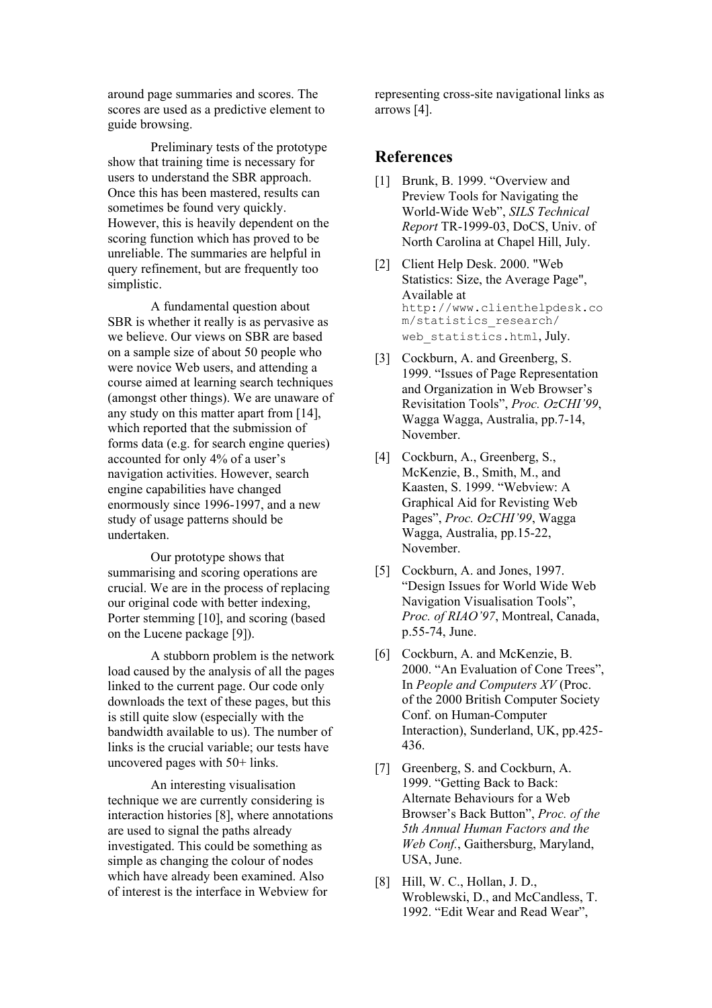around page summaries and scores. The scores are used as a predictive element to guide browsing.

Preliminary tests of the prototype show that training time is necessary for users to understand the SBR approach. Once this has been mastered, results can sometimes be found very quickly. However, this is heavily dependent on the scoring function which has proved to be unreliable. The summaries are helpful in query refinement, but are frequently too simplistic.

A fundamental question about SBR is whether it really is as pervasive as we believe. Our views on SBR are based on a sample size of about 50 people who were novice Web users, and attending a course aimed at learning search techniques (amongst other things). We are unaware of any study on this matter apart from [14], which reported that the submission of forms data (e.g. for search engine queries) accounted for only 4% of a user's navigation activities. However, search engine capabilities have changed enormously since 1996-1997, and a new study of usage patterns should be undertaken.

Our prototype shows that summarising and scoring operations are crucial. We are in the process of replacing our original code with better indexing, Porter stemming [10], and scoring (based on the Lucene package [9]).

A stubborn problem is the network load caused by the analysis of all the pages linked to the current page. Our code only downloads the text of these pages, but this is still quite slow (especially with the bandwidth available to us). The number of links is the crucial variable; our tests have uncovered pages with 50+ links.

An interesting visualisation technique we are currently considering is interaction histories [8], where annotations are used to signal the paths already investigated. This could be something as simple as changing the colour of nodes which have already been examined. Also of interest is the interface in Webview for

representing cross-site navigational links as arrows [4].

## **References**

- [1] Brunk, B. 1999. "Overview and Preview Tools for Navigating the World-Wide Web", *SILS Technical Report* TR-1999-03, DoCS, Univ. of North Carolina at Chapel Hill, July.
- [2] Client Help Desk. 2000. "Web Statistics: Size, the Average Page", Available at http://www.clienthelpdesk.co m/statistics\_research/ web statistics.html, July.
- [3] Cockburn, A. and Greenberg, S. 1999. "Issues of Page Representation and Organization in Web Browser's Revisitation Tools", *Proc. OzCHI'99*, Wagga Wagga, Australia, pp.7-14, November.
- [4] Cockburn, A., Greenberg, S., McKenzie, B., Smith, M., and Kaasten, S. 1999. "Webview: A Graphical Aid for Revisting Web Pages", *Proc. OzCHI'99*, Wagga Wagga, Australia, pp.15-22, November.
- [5] Cockburn, A. and Jones, 1997. "Design Issues for World Wide Web Navigation Visualisation Tools", *Proc. of RIAO'97*, Montreal, Canada, p.55-74, June.
- [6] Cockburn, A. and McKenzie, B. 2000. "An Evaluation of Cone Trees", In *People and Computers XV* (Proc. of the 2000 British Computer Society Conf. on Human-Computer Interaction), Sunderland, UK, pp.425- 436.
- [7] Greenberg, S. and Cockburn, A. 1999. "Getting Back to Back: Alternate Behaviours for a Web Browser's Back Button", *Proc. of the 5th Annual Human Factors and the Web Conf.*, Gaithersburg, Maryland, USA, June.
- [8] Hill, W. C., Hollan, J. D., Wroblewski, D., and McCandless, T. 1992. "Edit Wear and Read Wear",